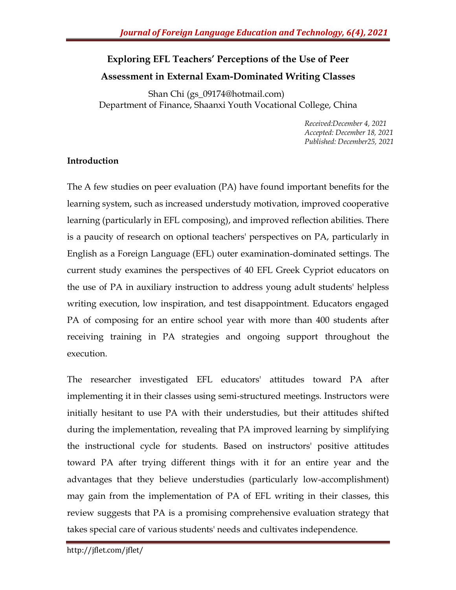## **Exploring EFL Teachers' Perceptions of the Use of Peer**

## **Assessment in External Exam-Dominated Writing Classes**

Shan Chi (gs\_09174@hotmail.com) Department of Finance, Shaanxi Youth Vocational College, China

> *Received:December 4, 2021 Accepted: December 18, 2021 Published: December25, 2021*

## **Introduction**

The A few studies on peer evaluation (PA) have found important benefits for the learning system, such as increased understudy motivation, improved cooperative learning (particularly in EFL composing), and improved reflection abilities. There is a paucity of research on optional teachers' perspectives on PA, particularly in English as a Foreign Language (EFL) outer examination-dominated settings. The current study examines the perspectives of 40 EFL Greek Cypriot educators on the use of PA in auxiliary instruction to address young adult students' helpless writing execution, low inspiration, and test disappointment. Educators engaged PA of composing for an entire school year with more than 400 students after receiving training in PA strategies and ongoing support throughout the execution.

The researcher investigated EFL educators' attitudes toward PA after implementing it in their classes using semi-structured meetings. Instructors were initially hesitant to use PA with their understudies, but their attitudes shifted during the implementation, revealing that PA improved learning by simplifying the instructional cycle for students. Based on instructors' positive attitudes toward PA after trying different things with it for an entire year and the advantages that they believe understudies (particularly low-accomplishment) may gain from the implementation of PA of EFL writing in their classes, this review suggests that PA is a promising comprehensive evaluation strategy that takes special care of various students' needs and cultivates independence.